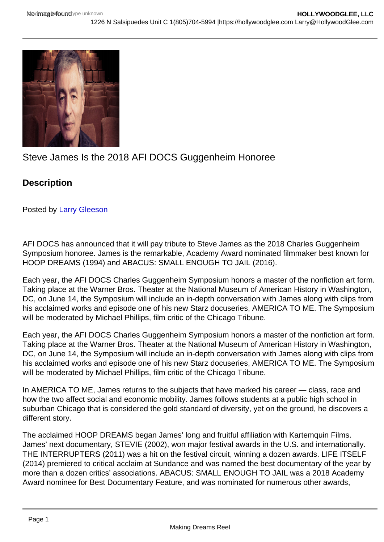## Steve James Is the 2018 AFI DOCS Guggenheim Honoree

**Description** 

Posted by [Larry Gleeson](https://studentfilmreviews.org/?s=larry+gleeson)

AFI DOCS has announced that it will pay tribute to Steve James as the 2018 Charles Guggenheim Symposium honoree. James is the remarkable, Academy Award nominated filmmaker best known for HOOP DREAMS (1994) and ABACUS: SMALL ENOUGH TO JAIL (2016).

Each year, the AFI DOCS Charles Guggenheim Symposium honors a master of the nonfiction art form. Taking place at the Warner Bros. Theater at the National Museum of American History in Washington, DC, on June 14, the Symposium will include an in-depth conversation with James along with clips from his acclaimed works and episode one of his new Starz docuseries, AMERICA TO ME. The Symposium will be moderated by Michael Phillips, film critic of the Chicago Tribune.

Each year, the AFI DOCS Charles Guggenheim Symposium honors a master of the nonfiction art form. Taking place at the Warner Bros. Theater at the National Museum of American History in Washington, DC, on June 14, the Symposium will include an in-depth conversation with James along with clips from his acclaimed works and episode one of his new Starz docuseries, AMERICA TO ME. The Symposium will be moderated by Michael Phillips, film critic of the Chicago Tribune.

In AMERICA TO ME, James returns to the subjects that have marked his career — class, race and how the two affect social and economic mobility. James follows students at a public high school in suburban Chicago that is considered the gold standard of diversity, yet on the ground, he discovers a different story.

The acclaimed HOOP DREAMS began James' long and fruitful affiliation with Kartemquin Films. James' next documentary, STEVIE (2002), won major festival awards in the U.S. and internationally. THE INTERRUPTERS (2011) was a hit on the festival circuit, winning a dozen awards. LIFE ITSELF (2014) premiered to critical acclaim at Sundance and was named the best documentary of the year by more than a dozen critics' associations. ABACUS: SMALL ENOUGH TO JAIL was a 2018 Academy Award nominee for Best Documentary Feature, and was nominated for numerous other awards,